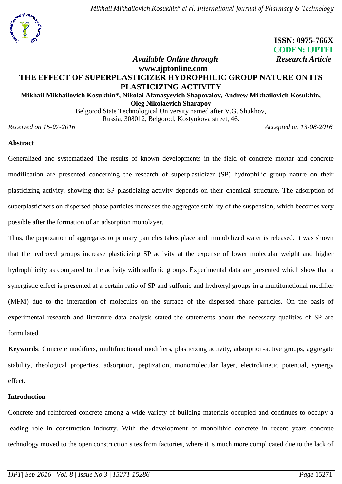

 **ISSN: 0975-766X CODEN: IJPTFI**

# *Available Online through* Research Article **www.ijptonline.com THE EFFECT OF SUPERPLASTICIZER HYDROPHILIC GROUP NATURE ON ITS PLASTICIZING ACTIVITY**

# **Mikhail Mikhailovich Kosukhin\*, Nikolai Afanasyevich Shapovalov, Andrew Mikhailovich Kosukhin, Oleg Nikolaevich Sharapov**

Belgorod State Technological University named after V.G. Shukhov, Russia, 308012, Belgorod, Kostyukova street, 46.

*Received on 15-07-2016 Accepted on 13-08-2016*

### **Abstract**

Generalized and systematized The results of known developments in the field of concrete mortar and concrete modification are presented concerning the research of superplasticizer (SP) hydrophilic group nature on their plasticizing activity, showing that SP plasticizing activity depends on their chemical structure. The adsorption of superplasticizers on dispersed phase particles increases the aggregate stability of the suspension, which becomes very possible after the formation of an adsorption monolayer.

Thus, the peptization of aggregates to primary particles takes place and immobilized water is released. It was shown that the hydroxyl groups increase plasticizing SP activity at the expense of lower molecular weight and higher hydrophilicity as compared to the activity with sulfonic groups. Experimental data are presented which show that a synergistic effect is presented at a certain ratio of SP and sulfonic and hydroxyl groups in a multifunctional modifier (MFM) due to the interaction of molecules on the surface of the dispersed phase particles. On the basis of experimental research and literature data analysis stated the statements about the necessary qualities of SP are formulated.

**Keywords**: Concrete modifiers, multifunctional modifiers, plasticizing activity, adsorption-active groups, aggregate stability, rheological properties, adsorption, peptization, monomolecular layer, electrokinetic potential, synergy effect.

### **Introduction**

Concrete and reinforced concrete among a wide variety of building materials occupied and continues to occupy a leading role in construction industry. With the development of monolithic concrete in recent years concrete technology moved to the open construction sites from factories, where it is much more complicated due to the lack of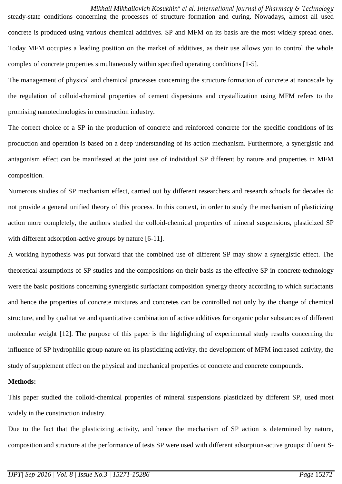*Mikhail Mikhailovich Kosukhin*\* *et al. International Journal of Pharmacy & Technology* steady-state conditions concerning the processes of structure formation and curing. Nowadays, almost all used concrete is produced using various chemical additives. SP and MFM on its basis are the most widely spread ones. Today MFM occupies a leading position on the market of additives, as their use allows you to control the whole complex of concrete properties simultaneously within specified operating conditions [1-5].

The management of physical and chemical processes concerning the structure formation of concrete at nanoscale by the regulation of colloid-chemical properties of cement dispersions and crystallization using MFM refers to the promising nanotechnologies in construction industry.

The correct choice of a SP in the production of concrete and reinforced concrete for the specific conditions of its production and operation is based on a deep understanding of its action mechanism. Furthermore, a synergistic and antagonism effect can be manifested at the joint use of individual SP different by nature and properties in MFM composition.

Numerous studies of SP mechanism effect, carried out by different researchers and research schools for decades do not provide a general unified theory of this process. In this context, in order to study the mechanism of plasticizing action more completely, the authors studied the colloid-chemical properties of mineral suspensions, plasticized SP with different adsorption-active groups by nature [6-11].

A working hypothesis was put forward that the combined use of different SP may show a synergistic effect. The theoretical assumptions of SP studies and the compositions on their basis as the effective SP in concrete technology were the basic positions concerning synergistic surfactant composition synergy theory according to which surfactants and hence the properties of concrete mixtures and concretes can be controlled not only by the change of chemical structure, and by qualitative and quantitative combination of active additives for organic polar substances of different molecular weight [12]. The purpose of this paper is the highlighting of experimental study results concerning the influence of SP hydrophilic group nature on its plasticizing activity, the development of MFM increased activity, the study of supplement effect on the physical and mechanical properties of concrete and concrete compounds.

### **Methods:**

This paper studied the colloid-chemical properties of mineral suspensions plasticized by different SP, used most widely in the construction industry.

Due to the fact that the plasticizing activity, and hence the mechanism of SP action is determined by nature, composition and structure at the performance of tests SP were used with different adsorption-active groups: diluent S-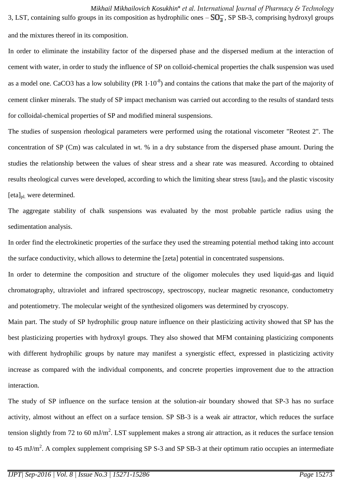*Mikhail Mikhailovich Kosukhin*\* *et al. International Journal of Pharmacy & Technology* 3, LST, containing sulfo groups in its composition as hydrophilic ones  $-\overline{SO_3}$ , SP SB-3, comprising hydroxyl groups and the mixtures thereof in its composition.

In order to eliminate the instability factor of the dispersed phase and the dispersed medium at the interaction of cement with water, in order to study the influence of SP on colloid-chemical properties the chalk suspension was used as a model one. CaCO3 has a low solubility (PR  $1·10<sup>-8</sup>$ ) and contains the cations that make the part of the majority of cement clinker minerals. The study of SP impact mechanism was carried out according to the results of standard tests for colloidal-chemical properties of SP and modified mineral suspensions.

The studies of suspension rheological parameters were performed using the rotational viscometer "Reotest 2". The concentration of SP (Cm) was calculated in wt. % in a dry substance from the dispersed phase amount. During the studies the relationship between the values of shear stress and a shear rate was measured. According to obtained results rheological curves were developed, according to which the limiting shear stress [tau]<sub>0</sub> and the plastic viscosity  $[eta]_{\text{pl}}$  were determined.

The aggregate stability of chalk suspensions was evaluated by the most probable particle radius using the sedimentation analysis.

In order find the electrokinetic properties of the surface they used the streaming potential method taking into account the surface conductivity, which allows to determine the [zeta] potential in concentrated suspensions.

In order to determine the composition and structure of the oligomer molecules they used liquid-gas and liquid chromatography, ultraviolet and infrared spectroscopy, spectroscopy, nuclear magnetic resonance, conductometry and potentiometry. The molecular weight of the synthesized oligomers was determined by cryoscopy.

Main part. The study of SP hydrophilic group nature influence on their plasticizing activity showed that SP has the best plasticizing properties with hydroxyl groups. They also showed that MFM containing plasticizing components with different hydrophilic groups by nature may manifest a synergistic effect, expressed in plasticizing activity increase as compared with the individual components, and concrete properties improvement due to the attraction interaction.

The study of SP influence on the surface tension at the solution-air boundary showed that SP-3 has no surface activity, almost without an effect on a surface tension. SP SB-3 is a weak air attractor, which reduces the surface tension slightly from 72 to 60 mJ/m<sup>2</sup>. LST supplement makes a strong air attraction, as it reduces the surface tension to 45 mJ/m<sup>2</sup>. A complex supplement comprising SP S-3 and SP SB-3 at their optimum ratio occupies an intermediate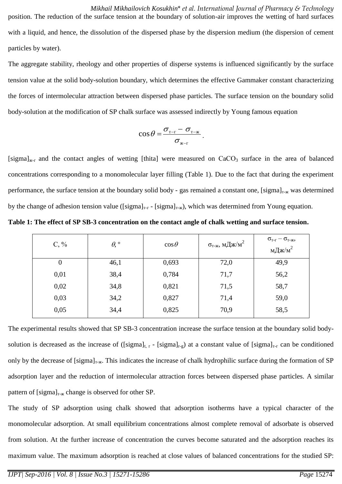*Mikhail Mikhailovich Kosukhin*\* *et al. International Journal of Pharmacy & Technology* position. The reduction of the surface tension at the boundary of solution-air improves the wetting of hard surfaces with a liquid, and hence, the dissolution of the dispersed phase by the dispersion medium (the dispersion of cement particles by water).

The aggregate stability, rheology and other properties of disperse systems is influenced significantly by the surface tension value at the solid body-solution boundary, which determines the effective Gammaker constant characterizing the forces of intermolecular attraction between dispersed phase particles. The surface tension on the boundary solid body-solution at the modification of SP chalk surface was assessed indirectly by Young famous equation

$$
\cos\theta = \frac{\sigma_{\text{t-f}} - \sigma_{\text{t-k}}}{\sigma_{\text{t-k}}}
$$

[sigma] $_{K-F}$  and the contact angles of wetting [thita] were measured on CaCO<sub>3</sub> surface in the area of balanced concentrations corresponding to a monomolecular layer filling (Table 1). Due to the fact that during the experiment performance, the surface tension at the boundary solid body - gas remained a constant one,  $[sigma]_{T-K}$  was determined by the change of adhesion tension value ([sigma]<sub>T-T</sub> - [sigma]<sub>T-K</sub>), which was determined from Young equation.

**Table 1: The effect of SP SB-3 concentration on the contact angle of chalk wetting and surface tension.**

| $C, \%$        | $\theta$ , $\circ$ | $\cos\theta$ | $\sigma_{\textrm{\tiny T-K}},\, \textrm{M}\cancel{\perp}\textrm{K}\textrm{/M}^2$ | $\sigma_{\text{\tiny T-T}}-\sigma_{\text{\tiny T-K}},$<br>мДж/м $^2$ |
|----------------|--------------------|--------------|----------------------------------------------------------------------------------|----------------------------------------------------------------------|
| $\overline{0}$ | 46,1               | 0,693        | 72,0                                                                             | 49,9                                                                 |
| 0,01           | 38,4               | 0,784        | 71,7                                                                             | 56,2                                                                 |
| 0,02           | 34,8               | 0,821        | 71,5                                                                             | 58,7                                                                 |
| 0,03           | 34,2               | 0,827        | 71,4                                                                             | 59,0                                                                 |
| 0,05           | 34,4               | 0,825        | 70,9                                                                             | 58,5                                                                 |

The experimental results showed that SP SB-3 concentration increase the surface tension at the boundary solid bodysolution is decreased as the increase of ([sigma]<sub>t, r</sub> - [sigma]<sub>r-g</sub>) at a constant value of [sigma]<sub>T-F</sub> can be conditioned only by the decrease of  $[sigma]_{T-K}$ . This indicates the increase of chalk hydrophilic surface during the formation of SP adsorption layer and the reduction of intermolecular attraction forces between dispersed phase particles. A similar pattern of  $[sigma]_{T-K}$  change is observed for other SP.

The study of SP adsorption using chalk showed that adsorption isotherms have a typical character of the monomolecular adsorption. At small equilibrium concentrations almost complete removal of adsorbate is observed from solution. At the further increase of concentration the curves become saturated and the adsorption reaches its maximum value. The maximum adsorption is reached at close values of balanced concentrations for the studied SP: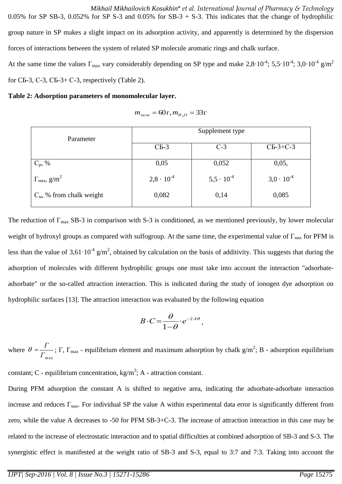*Mikhail Mikhailovich Kosukhin*\* *et al. International Journal of Pharmacy & Technology* 0.05% for SP SB-3, 0.052% for SP S-3 and 0.05% for SB-3 + S-3. This indicates that the change of hydrophilic group nature in SP makes a slight impact on its adsorption activity, and apparently is determined by the dispersion forces of interactions between the system of related SP molecule aromatic rings and chalk surface. At the same time the values  $\Gamma_{\text{max}}$  vary considerably depending on SP type and make  $2.8 \cdot 10^{-4}$ ;  $5.5 \cdot 10^{-4}$ ;  $3.0 \cdot 10^{-4}$  g/m<sup>2</sup>

for  $CB-3$ ,  $C-3$ ,  $CB-3+ C-3$ , respectively (Table 2).

#### **Table 2: Adsorption parameters of monomolecular layer.**

$$
m_{\text{mean}} = 60\,\Gamma, m_{H_2O} = 33\,\Gamma
$$

|                                          | Supplement type     |                     |                     |  |
|------------------------------------------|---------------------|---------------------|---------------------|--|
| Parameter                                | $CB-3$              | $C-3$               | $CB-3+C-3$          |  |
| $C_p$ , %                                | 0,05                | 0,052               | 0,05,               |  |
| $\Gamma_{\text{max}}$ , g/m <sup>2</sup> | $2,8 \cdot 10^{-4}$ | $5,5 \cdot 10^{-4}$ | $3,0 \cdot 10^{-4}$ |  |
| $C_M$ , % from chalk weight              | 0,082               | 0,14                | 0,085               |  |

The reduction of  $\Gamma_{\text{max}}$  SB-3 in comparison with S-3 is conditioned, as we mentioned previously, by lower molecular weight of hydroxyl groups as compared with sulfogroup. At the same time, the experimental value of  $\Gamma_{\text{max}}$  for PFM is less than the value of  $3.61 \cdot 10^{-4}$  g/m<sup>2</sup>, obtained by calculation on the basis of additivity. This suggests that during the adsorption of molecules with different hydrophilic groups one must take into account the interaction "adsorbateadsorbate" or the so-called attraction interaction. This is indicated during the study of ionogen dye adsorption on hydrophilic surfaces [13]. The attraction interaction was evaluated by the following equation

$$
B\cdot C=\frac{\theta}{1-\theta}\cdot e^{-2A\theta},
$$

where *Г*max  $\theta = \frac{\Gamma}{\Gamma}$ ;  $\Gamma$ ,  $\Gamma_{\text{max}}$  - equilibrium element and maximum adsorption by chalk g/m<sup>2</sup>; B - adsorption equilibrium

constant; C - equilibrium concentration,  $kg/m<sup>3</sup>$ ; A - attraction constant.

During PFM adsorption the constant A is shifted to negative area, indicating the adsorbate-adsorbate interaction increase and reduces  $\Gamma_{\text{max}}$ . For individual SP the value A within experimental data error is significantly different from zero, while the value A decreases to -50 for PFM SB-3+C-3. The increase of attraction interaction in this case may be related to the increase of electrostatic interaction and to spatial difficulties at combined adsorption of SB-3 and S-3. The synergistic effect is manifested at the weight ratio of SB-3 and S-3, equal to 3:7 and 7:3. Taking into account the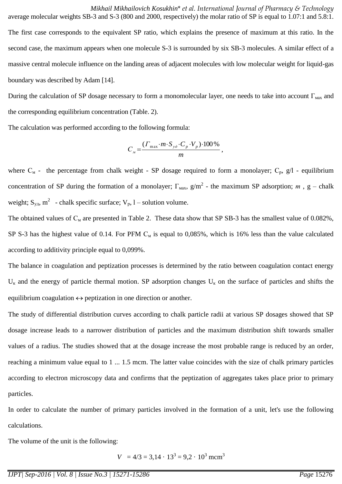*Mikhail Mikhailovich Kosukhin*\* *et al. International Journal of Pharmacy & Technology* average molecular weights SB-3 and S-3 (800 and 2000, respectively) the molar ratio of SP is equal to 1.07:1 and 5.8:1. The first case corresponds to the equivalent SP ratio, which explains the presence of maximum at this ratio. In the second case, the maximum appears when one molecule S-3 is surrounded by six SB-3 molecules. A similar effect of a massive central molecule influence on the landing areas of adjacent molecules with low molecular weight for liquid-gas boundary was described by Adam [14].

During the calculation of SP dosage necessary to form a monomolecular layer, one needs to take into account  $\Gamma_{\text{max}}$  and the corresponding equilibrium concentration (Table. 2).

The calculation was performed according to the following formula:

$$
C_{\scriptscriptstyle M} = \frac{( \Gamma_{\rm max} \cdot m \cdot S_{\scriptscriptstyle y\delta} \cdot C_{\scriptscriptstyle p} \cdot V_{\scriptscriptstyle p}) \cdot 100\%}{m},
$$

where  $C_M$  - the percentage from chalk weight - SP dosage required to form a monolayer;  $C_p$ , g/l - equilibrium concentration of SP during the formation of a monolayer;  $\Gamma_{\text{max}}$ ,  $g/m^2$  - the maximum SP adsorption; *m*, g – chalk weight;  $S_{y|x}$ ,  $m^2$  - chalk specific surface;  $V_p$ , l – solution volume.

The obtained values of  $C_M$  are presented in Table 2. These data show that SP SB-3 has the smallest value of 0.082%, SP S-3 has the highest value of 0.14. For PFM  $C_M$  is equal to 0,085%, which is 16% less than the value calculated according to additivity principle equal to 0,099%.

The balance in coagulation and peptization processes is determined by the ratio between coagulation contact energy  $U_{\kappa}$  and the energy of particle thermal motion. SP adsorption changes  $U_{\kappa}$  on the surface of particles and shifts the equilibrium coagulation  $\leftrightarrow$  peptization in one direction or another.

The study of differential distribution curves according to chalk particle radii at various SP dosages showed that SP dosage increase leads to a narrower distribution of particles and the maximum distribution shift towards smaller values of a radius. The studies showed that at the dosage increase the most probable range is reduced by an order, reaching a minimum value equal to 1 ... 1.5 mcm. The latter value coincides with the size of chalk primary particles according to electron microscopy data and confirms that the peptization of aggregates takes place prior to primary particles.

In order to calculate the number of primary particles involved in the formation of a unit, let's use the following calculations.

The volume of the unit is the following:

$$
V = 4/3 = 3,14 \cdot 13^3 = 9,2 \cdot 10^3
$$
 mcm<sup>3</sup>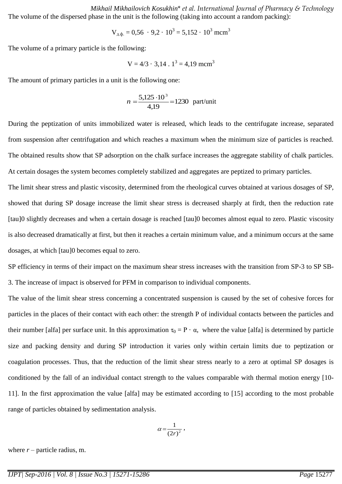*Mikhail Mikhailovich Kosukhin*\* *et al. International Journal of Pharmacy & Technology* The volume of the dispersed phase in the unit is the following (taking into account a random packing):

$$
V_{\mu,\phi} = 0.56 \cdot 9.2 \cdot 10^3 = 5.152 \cdot 10^3
$$
 mcm<sup>3</sup>

The volume of a primary particle is the following:

$$
V = 4/3 \cdot 3,14
$$
.  $1^3 = 4,19$  mcm<sup>3</sup>

The amount of primary particles in a unit is the following one:

$$
n = \frac{5,125 \cdot 10^3}{4,19} = 1230 \text{ part/unit}
$$

During the peptization of units immobilized water is released, which leads to the centrifugate increase, separated from suspension after centrifugation and which reaches a maximum when the minimum size of particles is reached. The obtained results show that SP adsorption on the chalk surface increases the aggregate stability of chalk particles. At certain dosages the system becomes completely stabilized and aggregates are peptized to primary particles.

The limit shear stress and plastic viscosity, determined from the rheological curves obtained at various dosages of SP, showed that during SP dosage increase the limit shear stress is decreased sharply at firdt, then the reduction rate [tau]0 slightly decreases and when a certain dosage is reached [tau]0 becomes almost equal to zero. Plastic viscosity is also decreased dramatically at first, but then it reaches a certain minimum value, and a minimum occurs at the same dosages, at which [tau]0 becomes equal to zero.

SP efficiency in terms of their impact on the maximum shear stress increases with the transition from SP-3 to SP SB-3. The increase of impact is observed for PFM in comparison to individual components.

The value of the limit shear stress concerning a concentrated suspension is caused by the set of cohesive forces for particles in the places of their contact with each other: the strength P of individual contacts between the particles and their number [alfa] per surface unit. In this approximation  $\tau_0 = P \cdot \alpha$ , where the value [alfa] is determined by particle size and packing density and during SP introduction it varies only within certain limits due to peptization or coagulation processes. Thus, that the reduction of the limit shear stress nearly to a zero at optimal SP dosages is conditioned by the fall of an individual contact strength to the values comparable with thermal motion energy [10- 11]. In the first approximation the value [alfa] may be estimated according to [15] according to the most probable range of particles obtained by sedimentation analysis.

$$
\alpha = \frac{1}{(2r)^2},
$$

where  $r$  – particle radius, m.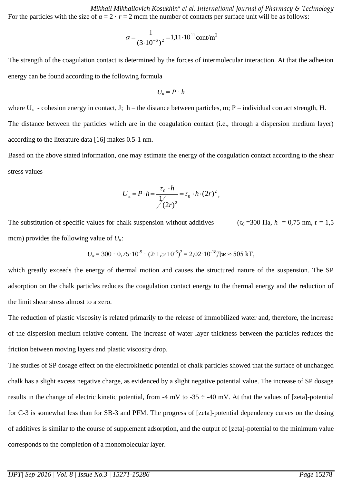*Mikhail Mikhailovich Kosukhin*\* *et al. International Journal of Pharmacy & Technology* For the particles with the size of  $\alpha = 2 \cdot r = 2$  mcm the number of contacts per surface unit will be as follows:

$$
\alpha = \frac{1}{(3 \cdot 10^{-6})^2} = 1,11 \cdot 10^{11} \text{cont/m}^2
$$

The strength of the coagulation contact is determined by the forces of intermolecular interaction. At that the adhesion energy can be found according to the following formula

$$
U_{\kappa}=P\cdot h
$$

where  $U_{\kappa}$  - cohesion energy in contact, J; h – the distance between particles, m; P – individual contact strength, H. The distance between the particles which are in the coagulation contact (i.e., through a dispersion medium layer) according to the literature data [16] makes 0.5-1 nm.

Based on the above stated information, one may estimate the energy of the coagulation contact according to the shear stress values

$$
U_{\kappa} = P \cdot h = \frac{\tau_0 \cdot h}{\frac{1}{2}} = \tau_0 \cdot h \cdot (2r)^2,
$$

The substitution of specific values for chalk suspension without additives  $(\tau_0 = 300 \text{ Ha}, h = 0.75 \text{ nm}, r = 1.5$ mcm) provides the following value of  $U_{\kappa}$ :

$$
U_{\rm k} = 300 \cdot 0.75 \cdot 10^{-9} \cdot (2 \cdot 1.5 \cdot 10^{-6})^2 = 2.02 \cdot 10^{-18} \text{Jx} \approx 505 \text{ kT},
$$

which greatly exceeds the energy of thermal motion and causes the structured nature of the suspension. The SP adsorption on the chalk particles reduces the coagulation contact energy to the thermal energy and the reduction of the limit shear stress almost to a zero.

The reduction of plastic viscosity is related primarily to the release of immobilized water and, therefore, the increase of the dispersion medium relative content. The increase of water layer thickness between the particles reduces the friction between moving layers and plastic viscosity drop.

The studies of SP dosage effect on the electrokinetic potential of chalk particles showed that the surface of unchanged chalk has a slight excess negative charge, as evidenced by a slight negative potential value. The increase of SP dosage results in the change of electric kinetic potential, from -4 mV to -35  $\div$  -40 mV. At that the values of [zeta]-potential for C-3 is somewhat less than for SB-3 and PFM. The progress of [zeta]-potential dependency curves on the dosing of additives is similar to the course of supplement adsorption, and the output of [zeta]-potential to the minimum value corresponds to the completion of a monomolecular layer.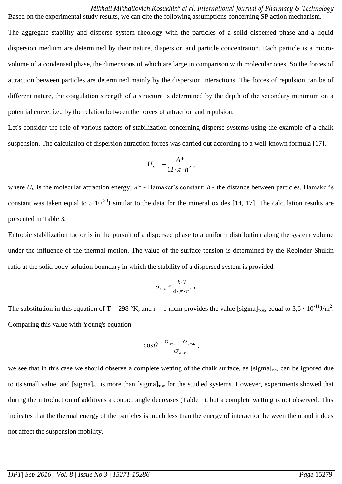*Mikhail Mikhailovich Kosukhin*\* *et al. International Journal of Pharmacy & Technology* Based on the experimental study results, we can cite the following assumptions concerning SP action mechanism.

The aggregate stability and disperse system rheology with the particles of a solid dispersed phase and a liquid dispersion medium are determined by their nature, dispersion and particle concentration. Each particle is a microvolume of a condensed phase, the dimensions of which are large in comparison with molecular ones. So the forces of attraction between particles are determined mainly by the dispersion interactions. The forces of repulsion can be of different nature, the coagulation strength of a structure is determined by the depth of the secondary minimum on a potential curve, i.e., by the relation between the forces of attraction and repulsion.

Let's consider the role of various factors of stabilization concerning disperse systems using the example of a chalk suspension. The calculation of dispersion attraction forces was carried out according to a well-known formula [17].

$$
U_{\rm M} = -\frac{A^*}{12 \cdot \pi \cdot h^2},
$$

where *U*<sup>м</sup> is the molecular attraction energy; *А*\* - Hamaker's constant; *h* - the distance between particles. Hamaker's constant was taken equal to  $5.10^{-20}$ J similar to the data for the mineral oxides [14, 17]. The calculation results are presented in Table 3.

Entropic stabilization factor is in the pursuit of a dispersed phase to a uniform distribution along the system volume under the influence of the thermal motion. The value of the surface tension is determined by the Rebinder-Shukin ratio at the solid body-solution boundary in which the stability of a dispersed system is provided

$$
\sigma_{\tau-\kappa} \leq \frac{k \cdot T}{4 \cdot \pi \cdot r^2} \,,
$$

The substitution in this equation of T = 298 °K, and r = 1 mcm provides the value [sigma]<sub>T-x</sub>, equal to 3,6  $\cdot$  10<sup>-11</sup>J/m<sup>2</sup>. Comparing this value with Young's equation

$$
\cos\theta = \frac{\sigma_{\text{t-f}} - \sigma_{\text{t-k}}}{\sigma_{\text{t-k}}},
$$

we see that in this case we should observe a complete wetting of the chalk surface, as  $[sigma]_{T-K}$  can be ignored due to its small value, and [sigma]<sub>T-T</sub> is more than [sigma]<sub>T- $\kappa$ </sub> for the studied systems. However, experiments showed that during the introduction of additives a contact angle decreases (Table 1), but a complete wetting is not observed. This indicates that the thermal energy of the particles is much less than the energy of interaction between them and it does not affect the suspension mobility.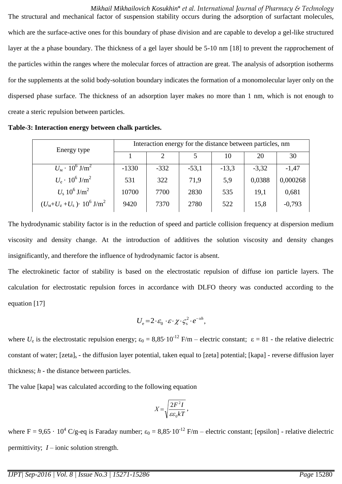*Mikhail Mikhailovich Kosukhin*\* *et al. International Journal of Pharmacy & Technology* The structural and mechanical factor of suspension stability occurs during the adsorption of surfactant molecules, which are the surface-active ones for this boundary of phase division and are capable to develop a gel-like structured layer at the a phase boundary. The thickness of a gel layer should be 5-10 nm [18] to prevent the rapprochement of the particles within the ranges where the molecular forces of attraction are great. The analysis of adsorption isotherms for the supplements at the solid body-solution boundary indicates the formation of a monomolecular layer only on the dispersed phase surface. The thickness of an adsorption layer makes no more than 1 nm, which is not enough to create a steric repulsion between particles.

**Table-3: Interaction energy between chalk particles.**

| Energy type                                                  | Interaction energy for the distance between particles, nm |        |         |         |         |          |  |
|--------------------------------------------------------------|-----------------------------------------------------------|--------|---------|---------|---------|----------|--|
|                                                              |                                                           |        |         | 10      | 20      | 30       |  |
| $U_{\rm M} \cdot 10^6 \,\rm J/m^2$                           | $-1330$                                                   | $-332$ | $-53,1$ | $-13,3$ | $-3,32$ | $-1,47$  |  |
| $U_{\rm e} \cdot 10^6 \,\rm J/m^2$                           | 531                                                       | 322    | 71,9    | 5,9     | 0,0388  | 0,000268 |  |
| $U_{\rm s}$ 10 <sup>6</sup> J/m <sup>2</sup>                 | 10700                                                     | 7700   | 2830    | 535     | 19,1    | 0,681    |  |
| $(U_{\rm M}+U_{\rm e}+U_{\rm s})\cdot 10^6$ J/m <sup>2</sup> | 9420                                                      | 7370   | 2780    | 522     | 15,8    | $-0,793$ |  |

The hydrodynamic stability factor is in the reduction of speed and particle collision frequency at dispersion medium viscosity and density change. At the introduction of additives the solution viscosity and density changes insignificantly, and therefore the influence of hydrodynamic factor is absent.

The electrokinetic factor of stability is based on the electrostatic repulsion of diffuse ion particle layers. The calculation for electrostatic repulsion forces in accordance with DLFO theory was conducted according to the equation [17]

$$
U_{\rm e} = 2 \cdot \varepsilon_0 \cdot \varepsilon \cdot \chi \cdot \zeta_{\rm s}^2 \cdot e^{-xh},
$$

where  $U_e$  is the electrostatic repulsion energy;  $\varepsilon_0 = 8.85 \cdot 10^{-12}$  F/m – electric constant;  $\varepsilon = 81$  - the relative dielectric constant of water; [zeta]<sub>s</sub> - the diffusion layer potential, taken equal to [zeta] potential; [kapa] - reverse diffusion layer thickness; *h* - the distance between particles.

The value [kapa] was calculated according to the following equation

$$
X = \sqrt{\frac{2F^2I}{\varepsilon\varepsilon_0 kT}},
$$

where  $F = 9.65 \cdot 10^4$  C/g-eq is Faraday number;  $\varepsilon_0 = 8.85 \cdot 10^{-12}$  F/m – electric constant; [epsilon] - relative dielectric permittivity; *I* – ionic solution strength.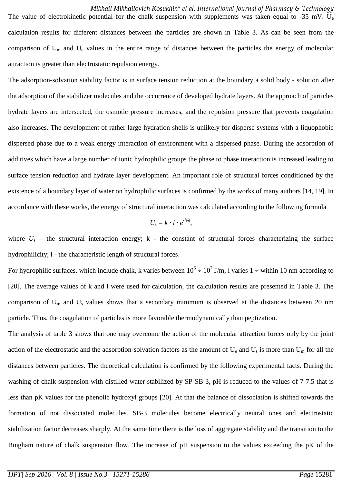*Mikhail Mikhailovich Kosukhin*\* *et al. International Journal of Pharmacy & Technology* The value of electrokinetic potential for the chalk suspension with supplements was taken equal to -35 mV. U<sub>e</sub> calculation results for different distances between the particles are shown in Table 3. As can be seen from the comparison of  $U_m$  and  $U_e$  values in the entire range of distances between the particles the energy of molecular attraction is greater than electrostatic repulsion energy.

The adsorption-solvation stability factor is in surface tension reduction at the boundary a solid body - solution after the adsorption of the stabilizer molecules and the occurrence of developed hydrate layers. At the approach of particles hydrate layers are intersected, the osmotic pressure increases, and the repulsion pressure that prevents coagulation also increases. The development of rather large hydration shells is unlikely for disperse systems with a liquophobic dispersed phase due to a weak energy interaction of environment with a dispersed phase. During the adsorption of additives which have a large number of ionic hydrophilic groups the phase to phase interaction is increased leading to surface tension reduction and hydrate layer development. An important role of structural forces conditioned by the existence of a boundary layer of water on hydrophilic surfaces is confirmed by the works of many authors [14, 19]. In accordance with these works, the energy of structural interaction was calculated according to the following formula

$$
U_{\rm s}=k\cdot l\cdot e^{-h/e},
$$

where  $U_s$  – the structural interaction energy; k - the constant of structural forces characterizing the surface hydrophilicity; l - the characteristic length of structural forces.

For hydrophilic surfaces, which include chalk, k varies between  $10^6 \div 10^7$  J/m, l varies  $1 \div$  within 10 nm according to [20]. The average values of k and l were used for calculation, the calculation results are presented in Table 3. The comparison of  $U_m$  and  $U_s$  values shows that a secondary minimum is observed at the distances between 20 nm particle. Thus, the coagulation of particles is more favorable thermodynamically than peptization.

The analysis of table 3 shows that one may overcome the action of the molecular attraction forces only by the joint action of the electrostatic and the adsorption-solvation factors as the amount of  $U_e$  and  $U_s$  is more than  $U_m$  for all the distances between particles. The theoretical calculation is confirmed by the following experimental facts. During the washing of chalk suspension with distilled water stabilized by SP-SB 3, pH is reduced to the values of 7-7.5 that is less than pK values for the phenolic hydroxyl groups [20]. At that the balance of dissociation is shifted towards the formation of not dissociated molecules. SB-3 molecules become electrically neutral ones and electrostatic stabilization factor decreases sharply. At the same time there is the loss of aggregate stability and the transition to the Bingham nature of chalk suspension flow. The increase of pH suspension to the values exceeding the pK of the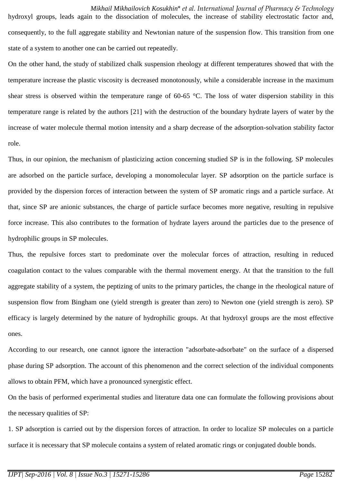*Mikhail Mikhailovich Kosukhin*\* *et al. International Journal of Pharmacy & Technology* hydroxyl groups, leads again to the dissociation of molecules, the increase of stability electrostatic factor and, consequently, to the full aggregate stability and Newtonian nature of the suspension flow. This transition from one state of a system to another one can be carried out repeatedly.

On the other hand, the study of stabilized chalk suspension rheology at different temperatures showed that with the temperature increase the plastic viscosity is decreased monotonously, while a considerable increase in the maximum shear stress is observed within the temperature range of 60-65 °C. The loss of water dispersion stability in this temperature range is related by the authors [21] with the destruction of the boundary hydrate layers of water by the increase of water molecule thermal motion intensity and a sharp decrease of the adsorption-solvation stability factor role.

Thus, in our opinion, the mechanism of plasticizing action concerning studied SP is in the following. SP molecules are adsorbed on the particle surface, developing a monomolecular layer. SP adsorption on the particle surface is provided by the dispersion forces of interaction between the system of SP aromatic rings and a particle surface. At that, since SP are anionic substances, the charge of particle surface becomes more negative, resulting in repulsive force increase. This also contributes to the formation of hydrate layers around the particles due to the presence of hydrophilic groups in SP molecules.

Thus, the repulsive forces start to predominate over the molecular forces of attraction, resulting in reduced coagulation contact to the values comparable with the thermal movement energy. At that the transition to the full aggregate stability of a system, the peptizing of units to the primary particles, the change in the rheological nature of suspension flow from Bingham one (yield strength is greater than zero) to Newton one (yield strength is zero). SP efficacy is largely determined by the nature of hydrophilic groups. At that hydroxyl groups are the most effective ones.

According to our research, one cannot ignore the interaction "adsorbate-adsorbate" on the surface of a dispersed phase during SP adsorption. The account of this phenomenon and the correct selection of the individual components allows to obtain PFM, which have a pronounced synergistic effect.

On the basis of performed experimental studies and literature data one can formulate the following provisions about the necessary qualities of SP:

1. SP adsorption is carried out by the dispersion forces of attraction. In order to localize SP molecules on a particle surface it is necessary that SP molecule contains a system of related aromatic rings or conjugated double bonds.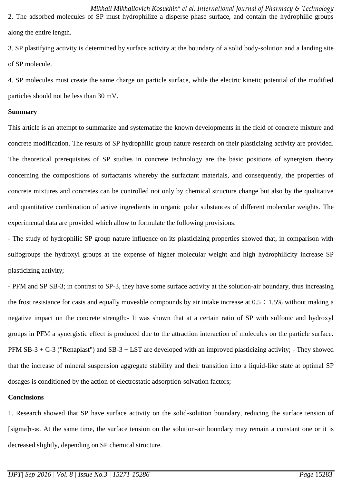*Mikhail Mikhailovich Kosukhin*\* *et al. International Journal of Pharmacy & Technology* 2. The adsorbed molecules of SP must hydrophilize a disperse phase surface, and contain the hydrophilic groups along the entire length.

3. SP plastifying activity is determined by surface activity at the boundary of a solid body-solution and a landing site of SP molecule.

4. SP molecules must create the same charge on particle surface, while the electric kinetic potential of the modified particles should not be less than 30 mV.

### **Summary**

This article is an attempt to summarize and systematize the known developments in the field of concrete mixture and concrete modification. The results of SP hydrophilic group nature research on their plasticizing activity are provided. The theoretical prerequisites of SP studies in concrete technology are the basic positions of synergism theory concerning the compositions of surfactants whereby the surfactant materials, and consequently, the properties of concrete mixtures and concretes can be controlled not only by chemical structure change but also by the qualitative and quantitative combination of active ingredients in organic polar substances of different molecular weights. The experimental data are provided which allow to formulate the following provisions:

- The study of hydrophilic SP group nature influence on its plasticizing properties showed that, in comparison with sulfogroups the hydroxyl groups at the expense of higher molecular weight and high hydrophilicity increase SP plasticizing activity;

- PFM and SP SB-3; in contrast to SP-3, they have some surface activity at the solution-air boundary, thus increasing the frost resistance for casts and equally moveable compounds by air intake increase at  $0.5 \div 1.5\%$  without making a negative impact on the concrete strength;- It was shown that at a certain ratio of SP with sulfonic and hydroxyl groups in PFM a synergistic effect is produced due to the attraction interaction of molecules on the particle surface. PFM  $SB-3 + C-3$  ("Renaplast") and  $SB-3 + LST$  are developed with an improved plasticizing activity; - They showed that the increase of mineral suspension aggregate stability and their transition into a liquid-like state at optimal SP dosages is conditioned by the action of electrostatic adsorption-solvation factors;

### **Conclusions**

1. Research showed that SP have surface activity on the solid-solution boundary, reducing the surface tension of [sigma]т-ж. At the same time, the surface tension on the solution-air boundary may remain a constant one or it is decreased slightly, depending on SP chemical structure.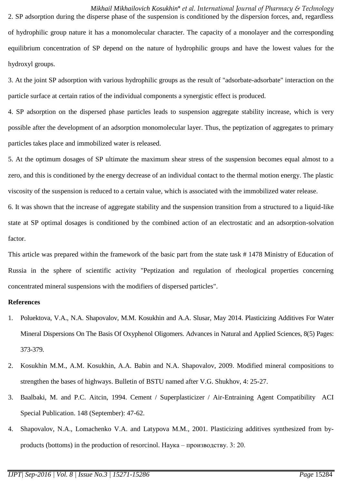*Mikhail Mikhailovich Kosukhin*\* *et al. International Journal of Pharmacy & Technology* 2. SP adsorption during the disperse phase of the suspension is conditioned by the dispersion forces, and, regardless of hydrophilic group nature it has a monomolecular character. The capacity of a monolayer and the corresponding equilibrium concentration of SP depend on the nature of hydrophilic groups and have the lowest values for the hydroxyl groups.

3. At the joint SP adsorption with various hydrophilic groups as the result of "adsorbate-adsorbate" interaction on the particle surface at certain ratios of the individual components a synergistic effect is produced.

4. SP adsorption on the dispersed phase particles leads to suspension aggregate stability increase, which is very possible after the development of an adsorption monomolecular layer. Thus, the peptization of aggregates to primary particles takes place and immobilized water is released.

5. At the optimum dosages of SP ultimate the maximum shear stress of the suspension becomes equal almost to a zero, and this is conditioned by the energy decrease of an individual contact to the thermal motion energy. The plastic viscosity of the suspension is reduced to a certain value, which is associated with the immobilized water release.

6. It was shown that the increase of aggregate stability and the suspension transition from a structured to a liquid-like state at SP optimal dosages is conditioned by the combined action of an electrostatic and an adsorption-solvation factor.

This article was prepared within the framework of the basic part from the state task # 1478 Ministry of Education of Russia in the sphere of scientific activity "Peptization and regulation of rheological properties concerning concentrated mineral suspensions with the modifiers of dispersed particles".

### **References**

- 1. Poluektova, V.A., N.A. Shapovalov, M.M. Kosukhin and A.A. Slusar, May 2014. Plasticizing Additives For Water Mineral Dispersions On The Basis Of Oxyphenol Oligomers. Advances in Natural and Applied Sciences, 8(5) Pages: 373-379.
- 2. Kosukhin M.M., A.M. Kosukhin, A.A. Babin and N.A. Shapovalov, 2009. Modified mineral compositions to strengthen the bases of highways. Bulletin of BSTU named after V.G. Shukhov, 4: 25-27.
- 3. Baalbaki, M. and P.C. Aitcin, 1994. Cement / Superplasticizer / Air-Entraining Agent Compatibility ACI Special Publication. 148 (September): 47-62.
- 4. Shapovalov, N.A., Lomachenko V.A. and Latypova M.M., 2001. Plasticizing additives synthesized from byproducts (bottoms) in the production of resorcinol. Наука – производству. 3: 20.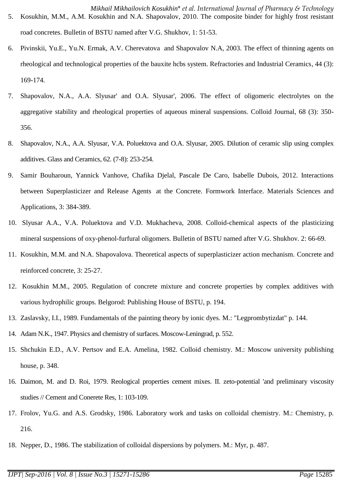- 6. Pivinskii, Yu.E., Yu.N. Ermak, A.V. Cherevatova and Shapovalov N.A, 2003. The effect of thinning agents on rheological and technological properties of the bauxite hcbs system. Refractories and Industrial Ceramics, 44 (3): 169-174.
- 7. Shapovalov, N.A., A.A. Slyusar' and O.A. Slyusar', 2006. The effect of oligomeric electrolytes on the aggregative stability and rheological properties of aqueous mineral suspensions. Colloid Journal, 68 (3): 350- 356.
- 8. Shapovalov, N.A., A.A. Slyusar, V.A. Poluektova and O.A. Slyusar, 2005. Dilution of ceramic slip using complex additives. Glass and Ceramics, 62. (7-8): 253-254.
- 9. Samir Bouharoun, Yannick Vanhove, Chafika Djelal, Pascale De Caro, Isabelle Dubois, 2012. Interactions between Superplasticizer and Release Agents at the Concrete. Formwork Interface. Materials Sciences and Applications, 3: 384-389.
- 10. Slyusar A.A., V.A. Poluektova and V.D. Mukhacheva, 2008. Colloid-chemical aspects of the plasticizing mineral suspensions of oxy-phenol-furfural oligomers. Bulletin of BSTU named after V.G. Shukhov. 2: 66-69.
- 11. Kosukhin, M.M. and N.A. Shapovalova. Theoretical aspects of superplasticizer action mechanism. Concrete and reinforced concrete, 3: 25-27.
- 12. Kosukhin M.M., 2005. Regulation of concrete mixture and concrete properties by complex additives with various hydrophilic groups. Belgorod: Publishing House of BSTU, p. 194.
- 13. Zaslavsky, I.I., 1989. Fundamentals of the painting theory by ionic dyes. M.: "Legprombytizdat" p. 144.
- 14. Adam N.K., 1947. Physics and chemistry of surfaces. Moscow-Leningrad, p. 552.
- 15. Shchukin E.D., A.V. Pertsov and E.A. Amelina, 1982. Colloid chemistry. M.: Moscow university publishing house, p. 348.
- 16. Daimon, M. and D. Roi, 1979. Reological properties cement mixes. II. zeto-potential 'and preliminary viscosity studies // Cement and Conerete Res, 1: 103-109.
- 17. Frolov, Yu.G. and A.S. Grodsky, 1986. Laboratory work and tasks on colloidal chemistry. M.: Chemistry, p. 216.
- 18. Nepper, D., 1986. The stabilization of colloidal dispersions by polymers. M.: Myr, p. 487.